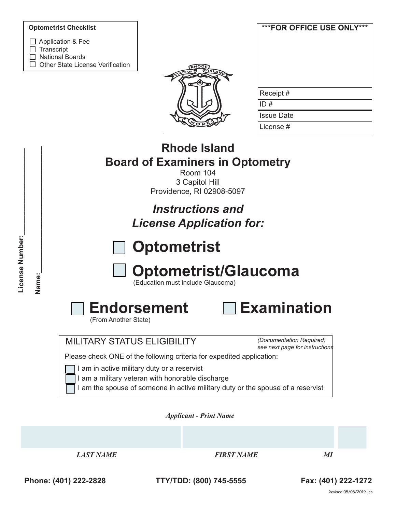#### **Optometrist Checklist**

- □ Application & Fee
- $\Box$  Transcript
- □ National Boards
- $\Box$  Other State License Verification



| ***FOR OFFICE USE ONLY*** |
|---------------------------|
| Receipt#                  |
| ID#                       |
| Issue Date                |
| License #                 |

# **Rhode Island Board of Examiners in Optometry**

Room 104 3 Capitol Hill Providence, RI 02908-5097

*Instructions and License Application for:*



# **Optometrist/Glaucoma**

(Education must include Glaucoma)



(From Another State)



## MILITARY STATUS ELIGIBILITY

*(Documentation Required) see next page for instructions*

Please check ONE of the following criteria for expedited application:

I am in active military duty or a reservist

I am a military veteran with honorable discharge

I am the spouse of someone in active military duty or the spouse of a reservist

*Applicant - Print Name* 

*LAST NAME FIRST NAME MI*

**Phone: (401) 222-2828 TTY/TDD: (800) 745-5555 Fax: (401) 222-1272**

Name: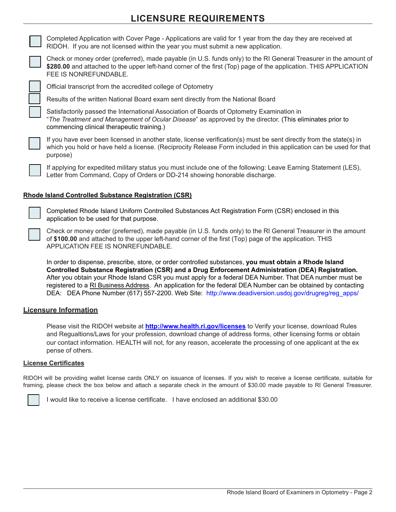# **LICENSURE REQUIREMENTS**



Completed Application with Cover Page - Applications are valid for 1 year from the day they are received at RIDOH. If you are not licensed within the year you must submit a new application.



Check or money order (preferred), made payable (in U.S. funds only) to the RI General Treasurer in the amount of **\$280.00** and attached to the upper left-hand corner of the first (Top) page of the application. THIS APPLICATION FEE IS NONREFUNDABLE.



Official transcript from the accredited college of Optometry

Results of the written National Board exam sent directly from the National Board

Satisfactorily passed the International Association of Boards of Optometry Examination in "*The Treatment and Management of Ocular Disease*" as approved by the director. (This eliminates prior to commencing clinical therapeutic training.)

If you have ever been licensed in another state, license verification(s) must be sent directly from the state(s) in which you hold or have held a license. (Reciprocity Release Form included in this application can be used for that purpose)

If applying for expedited military status you must include one of the following: Leave Earning Statement (LES), Letter from Command, Copy of Orders or DD-214 showing honorable discharge.

#### **Rhode Island Controlled Substance Registration (CSR)**



Completed Rhode Island Uniform Controlled Substances Act Registration Form (CSR) enclosed in this application to be used for that purpose.

Check or money order (preferred), made payable (in U.S. funds only) to the RI General Treasurer in the amount of **\$100.00** and attached to the upper left-hand corner of the first (Top) page of the application. THIS APPLICATION FEE IS NONREFUNDABLE.

In order to dispense, prescribe, store, or order controlled substances, **you must obtain a Rhode Island Controlled Substance Registration (CSR) and a Drug Enforcement Administration (DEA) Registration.** After you obtain your Rhode Island CSR you must apply for a federal DEA Number. That DEA number must be registered to a RI Business Address. An application for the federal DEA Number can be obtained by contacting DEA: DEA Phone Number (617) 557-2200. Web Site: http://www.deadiversion.usdoj.gov/drugreg/reg\_apps/

#### **Licensure Information**

Please visit the RIDOH website at **http://www.health.ri.gov/licenses** to Verify your license, download Rules and Regualtions/Laws for your profession, download change of address forms, other licensing forms or obtain our contact information. HEALTH will not, for any reason, accelerate the processing of one applicant at the ex pense of others.

#### **License Certificates**

RIDOH will be providing wallet license cards ONLY on issuance of licenses. If you wish to receive a license certificate, suitable for framing, please check the box below and attach a separate check in the amount of \$30.00 made payable to RI General Treasurer.



I would like to receive a license certificate. I have enclosed an additional \$30.00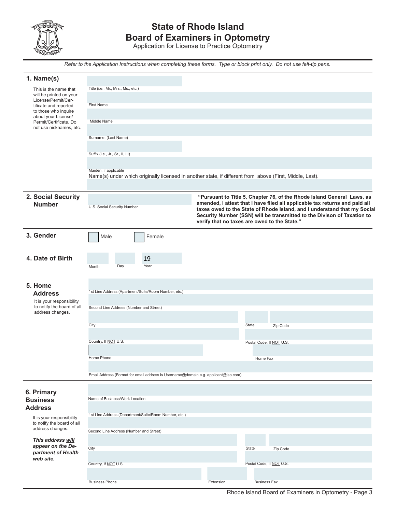

# **State of Rhode Island Board of Examiners in Optometry**

Application for License to Practice Optometry

*Refer to the Application Instructions when completing these forms. Type or block print only. Do not use felt-tip pens.*

| 1. Name(s)                                                                                               |                                                                                                                                                                                                                                                                                                                                                                                             |           |                          |
|----------------------------------------------------------------------------------------------------------|---------------------------------------------------------------------------------------------------------------------------------------------------------------------------------------------------------------------------------------------------------------------------------------------------------------------------------------------------------------------------------------------|-----------|--------------------------|
| This is the name that                                                                                    | Title (i.e., Mr., Mrs., Ms., etc.)                                                                                                                                                                                                                                                                                                                                                          |           |                          |
| will be printed on your<br>License/Permit/Cer-                                                           | <b>First Name</b>                                                                                                                                                                                                                                                                                                                                                                           |           |                          |
| tificate and reported<br>to those who inquire                                                            |                                                                                                                                                                                                                                                                                                                                                                                             |           |                          |
| about your License/<br>Permit/Certificate. Do                                                            | Middle Name                                                                                                                                                                                                                                                                                                                                                                                 |           |                          |
| not use nicknames, etc.                                                                                  |                                                                                                                                                                                                                                                                                                                                                                                             |           |                          |
|                                                                                                          | Surname, (Last Name)                                                                                                                                                                                                                                                                                                                                                                        |           |                          |
|                                                                                                          | Suffix (i.e., Jr., Sr., II, III)                                                                                                                                                                                                                                                                                                                                                            |           |                          |
|                                                                                                          |                                                                                                                                                                                                                                                                                                                                                                                             |           |                          |
|                                                                                                          | Maiden, if applicable<br>Name(s) under which originally licensed in another state, if different from above (First, Middle, Last).                                                                                                                                                                                                                                                           |           |                          |
|                                                                                                          |                                                                                                                                                                                                                                                                                                                                                                                             |           |                          |
| 2. Social Security<br><b>Number</b>                                                                      | "Pursuant to Title 5, Chapter 76, of the Rhode Island General Laws, as<br>amended, I attest that I have filed all applicable tax returns and paid all<br>U.S. Social Security Number<br>taxes owed to the State of Rhode Island, and I understand that my Social<br>Security Number (SSN) will be transmitted to the Divison of Taxation to<br>verify that no taxes are owed to the State." |           |                          |
| 3. Gender                                                                                                | Male<br>Female                                                                                                                                                                                                                                                                                                                                                                              |           |                          |
| 4. Date of Birth                                                                                         | 19                                                                                                                                                                                                                                                                                                                                                                                          |           |                          |
|                                                                                                          | Day<br>Year<br>Month                                                                                                                                                                                                                                                                                                                                                                        |           |                          |
| 5. Home<br><b>Address</b><br>It is your responsibility<br>to notify the board of all<br>address changes. | 1st Line Address (Apartment/Suite/Room Number, etc.)<br>Second Line Address (Number and Street)                                                                                                                                                                                                                                                                                             |           |                          |
|                                                                                                          | City                                                                                                                                                                                                                                                                                                                                                                                        |           | State<br>Zip Code        |
|                                                                                                          |                                                                                                                                                                                                                                                                                                                                                                                             |           |                          |
|                                                                                                          | Country, If NOT U.S.                                                                                                                                                                                                                                                                                                                                                                        |           | Postal Code, If NOT U.S. |
|                                                                                                          | Home Phone                                                                                                                                                                                                                                                                                                                                                                                  |           | Home Fax                 |
|                                                                                                          |                                                                                                                                                                                                                                                                                                                                                                                             |           |                          |
|                                                                                                          | Email Address (Format for email address is Username@domain e.g. applicant@isp.com)                                                                                                                                                                                                                                                                                                          |           |                          |
| 6. Primary<br><b>Business</b><br><b>Address</b>                                                          | Name of Business/Work Location                                                                                                                                                                                                                                                                                                                                                              |           |                          |
| It is your responsibility                                                                                | 1st Line Address (Department/Suite/Room Number, etc.)                                                                                                                                                                                                                                                                                                                                       |           |                          |
| to notify the board of all<br>address changes.                                                           | Second Line Address (Number and Street)                                                                                                                                                                                                                                                                                                                                                     |           |                          |
| This address will                                                                                        |                                                                                                                                                                                                                                                                                                                                                                                             |           |                          |
| appear on the De-<br>partment of Health                                                                  | City                                                                                                                                                                                                                                                                                                                                                                                        |           | State<br>Zip Code        |
| web site.                                                                                                | Country, If NOT U.S.                                                                                                                                                                                                                                                                                                                                                                        |           | Postal Code, If NOT U.S. |
|                                                                                                          |                                                                                                                                                                                                                                                                                                                                                                                             |           |                          |
|                                                                                                          | <b>Business Phone</b>                                                                                                                                                                                                                                                                                                                                                                       | Extension | <b>Business Fax</b>      |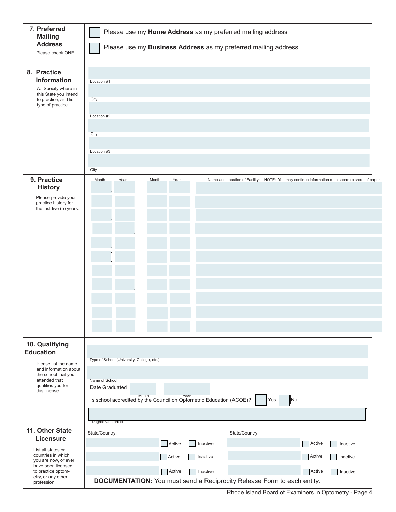| 7. Preferred<br><b>Mailing</b><br><b>Address</b><br>Please check ONE                                                            | Please use my Home Address as my preferred mailing address<br>Please use my Business Address as my preferred mailing address      |  |  |  |
|---------------------------------------------------------------------------------------------------------------------------------|-----------------------------------------------------------------------------------------------------------------------------------|--|--|--|
| 8. Practice<br><b>Information</b><br>A. Specify where in<br>this State you intend<br>to practice, and list<br>type of practice. | Location #1<br>City<br>Location #2<br>City<br>Location #3<br>City                                                                 |  |  |  |
| 9. Practice                                                                                                                     | Year<br>Year<br>Month<br>Month<br>Name and Location of Facility: NOTE: You may continue information on a separate sheet of paper. |  |  |  |
| <b>History</b>                                                                                                                  |                                                                                                                                   |  |  |  |
| Please provide your<br>practice history for                                                                                     |                                                                                                                                   |  |  |  |
| the last five (5) years.                                                                                                        |                                                                                                                                   |  |  |  |
|                                                                                                                                 |                                                                                                                                   |  |  |  |
|                                                                                                                                 |                                                                                                                                   |  |  |  |
|                                                                                                                                 |                                                                                                                                   |  |  |  |
|                                                                                                                                 |                                                                                                                                   |  |  |  |
|                                                                                                                                 |                                                                                                                                   |  |  |  |
|                                                                                                                                 |                                                                                                                                   |  |  |  |
|                                                                                                                                 |                                                                                                                                   |  |  |  |
|                                                                                                                                 |                                                                                                                                   |  |  |  |
|                                                                                                                                 |                                                                                                                                   |  |  |  |
|                                                                                                                                 |                                                                                                                                   |  |  |  |
|                                                                                                                                 |                                                                                                                                   |  |  |  |
| 10. Qualifying<br><b>Education</b>                                                                                              |                                                                                                                                   |  |  |  |
| Please list the name                                                                                                            | Type of School (University, College, etc.)                                                                                        |  |  |  |
| and information about<br>the school that you                                                                                    |                                                                                                                                   |  |  |  |
| attended that<br>qualifies you for                                                                                              | Name of School<br>Date Graduated                                                                                                  |  |  |  |
| this license.                                                                                                                   | Month<br>Year<br>Is school accredited by the Council on Optometric Education (ACOE)?<br>No<br>Yes                                 |  |  |  |
|                                                                                                                                 |                                                                                                                                   |  |  |  |
|                                                                                                                                 | Degree Conferred                                                                                                                  |  |  |  |
| 11. Other State                                                                                                                 | State/Country:<br>State/Country:                                                                                                  |  |  |  |
| <b>Licensure</b>                                                                                                                | Active<br>Inactive<br>Active<br>Inactive                                                                                          |  |  |  |
| List all states or<br>countries in which                                                                                        | Active<br>Active<br>Inactive<br>Inactive                                                                                          |  |  |  |
| you are now, or ever<br>have been licensed                                                                                      |                                                                                                                                   |  |  |  |
| to practice optom-<br>etry, or any other                                                                                        | Active<br>Active<br>Inactive<br>Inactive                                                                                          |  |  |  |
| profession.                                                                                                                     | <b>DOCUMENTATION:</b> You must send a Reciprocity Release Form to each entity.                                                    |  |  |  |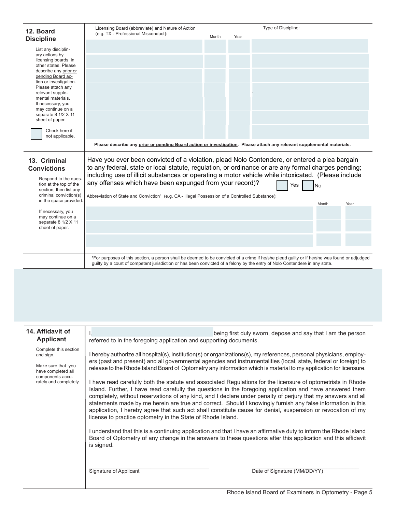| 12. Board                                                                  | Licensing Board (abbreviate) and Nature of Action                                                                                                                                                                                       | Type of Discipline:                                         |  |
|----------------------------------------------------------------------------|-----------------------------------------------------------------------------------------------------------------------------------------------------------------------------------------------------------------------------------------|-------------------------------------------------------------|--|
| <b>Discipline</b>                                                          | (e.g. TX - Professional Misconduct):<br>Month<br>Year                                                                                                                                                                                   |                                                             |  |
| List any disciplin-                                                        |                                                                                                                                                                                                                                         |                                                             |  |
| ary actions by<br>licensing boards in                                      |                                                                                                                                                                                                                                         |                                                             |  |
| other states. Please<br>describe any prior or                              |                                                                                                                                                                                                                                         |                                                             |  |
| pending Board ac-<br>tion or investigation.                                |                                                                                                                                                                                                                                         |                                                             |  |
| Please attach any<br>relevant supple-                                      |                                                                                                                                                                                                                                         |                                                             |  |
| mental materials.<br>If necessary, you                                     |                                                                                                                                                                                                                                         |                                                             |  |
| may continue on a<br>separate 8 1/2 X 11                                   |                                                                                                                                                                                                                                         |                                                             |  |
| sheet of paper.                                                            |                                                                                                                                                                                                                                         |                                                             |  |
| Check here if<br>not applicable.                                           |                                                                                                                                                                                                                                         |                                                             |  |
|                                                                            | Please describe any prior or pending Board action or investigation. Please attach any relevant supplemental materials.                                                                                                                  |                                                             |  |
| 13. Criminal                                                               | Have you ever been convicted of a violation, plead Nolo Contendere, or entered a plea bargain                                                                                                                                           |                                                             |  |
| <b>Convictions</b>                                                         | to any federal, state or local statute, regulation, or ordinance or are any formal charges pending;<br>including use of illicit substances or operating a motor vehicle while intoxicated. (Please include                              |                                                             |  |
| Respond to the ques-<br>tion at the top of the                             | any offenses which have been expunged from your record)?                                                                                                                                                                                | Yes<br>No                                                   |  |
| section, then list any<br>criminal conviction(s)<br>in the space provided. | Abbreviation of State and Conviction <sup>1</sup> (e.g. CA - Illegal Possession of a Controlled Substance):                                                                                                                             |                                                             |  |
| If necessary, you                                                          |                                                                                                                                                                                                                                         | Month<br>Year                                               |  |
| may continue on a<br>separate 8 1/2 X 11                                   |                                                                                                                                                                                                                                         |                                                             |  |
| sheet of paper.                                                            |                                                                                                                                                                                                                                         |                                                             |  |
|                                                                            |                                                                                                                                                                                                                                         |                                                             |  |
|                                                                            | <sup>1</sup> For purposes of this section, a person shall be deemed to be convicted of a crime if he/she plead guilty or if he/she was found or adjudged                                                                                |                                                             |  |
|                                                                            | guilty by a court of competent jurisdiction or has been convicted of a felony by the entry of Nolo Contendere in any state.                                                                                                             |                                                             |  |
|                                                                            |                                                                                                                                                                                                                                         |                                                             |  |
|                                                                            |                                                                                                                                                                                                                                         |                                                             |  |
|                                                                            |                                                                                                                                                                                                                                         |                                                             |  |
|                                                                            |                                                                                                                                                                                                                                         |                                                             |  |
|                                                                            |                                                                                                                                                                                                                                         |                                                             |  |
| 14. Affidavit of<br><b>Applicant</b>                                       | referred to in the foregoing application and supporting documents.                                                                                                                                                                      | being first duly sworn, depose and say that I am the person |  |
| Complete this section                                                      |                                                                                                                                                                                                                                         |                                                             |  |
| and sign.                                                                  | I hereby authorize all hospital(s), institution(s) or organizations(s), my references, personal physicians, employ-<br>ers (past and present) and all governmental agencies and instrumentalities (local, state, federal or foreign) to |                                                             |  |
| Make sure that you<br>have completed all                                   | release to the Rhode Island Board of Optometry any information which is material to my application for licensure.                                                                                                                       |                                                             |  |
| components accu-<br>rately and completely.                                 | I have read carefully both the statute and associated Regulations for the licensure of optometrists in Rhode                                                                                                                            |                                                             |  |
|                                                                            | Island. Further, I have read carefully the questions in the foregoing application and have answered them<br>completely, without reservations of any kind, and I declare under penalty of perjury that my answers and all                |                                                             |  |
|                                                                            | statements made by me herein are true and correct. Should I knowingly furnish any false information in this                                                                                                                             |                                                             |  |
|                                                                            | application, I hereby agree that such act shall constitute cause for denial, suspension or revocation of my<br>license to practice optometry in the State of Rhode Island.                                                              |                                                             |  |
|                                                                            | I understand that this is a continuing application and that I have an affirmative duty to inform the Rhode Island                                                                                                                       |                                                             |  |
|                                                                            | Board of Optometry of any change in the answers to these questions after this application and this affidavit<br>is signed.                                                                                                              |                                                             |  |
|                                                                            |                                                                                                                                                                                                                                         |                                                             |  |
|                                                                            |                                                                                                                                                                                                                                         |                                                             |  |
|                                                                            | <b>Signature of Applicant</b>                                                                                                                                                                                                           | Date of Signature (MM/DD/YY)                                |  |
|                                                                            |                                                                                                                                                                                                                                         |                                                             |  |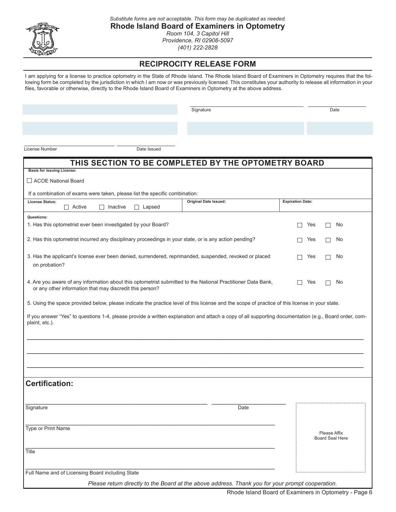

*Substitute forms are not acceptable. This form may be duplicated as needed.*

**Rhode Island Board of Examiners in Optometry** *Room 104, 3 Capitol Hill Providence, RI 02908-5097*

*(401) 222-2828*

### **RECIPROCITY RELEASE FORM**

I am applying for a license to practice optometry in the State of Rhode Island. The Rhode Island Board of Examiners in Optometry requires that the following form be completed by the jurisdiction in which I am now or was previously licensed. This constitutes your authority to release all information in your files, favorable or otherwise, directly to the Rhode Island Board of Examiners in Optometry at the above address.

Signature Date

License Number Date Issued

| THIS SECTION TO BE COMPLETED BY THE OPTOMETRY BOARD                                                                                                                                   |                                                                                                  |                         |                                        |
|---------------------------------------------------------------------------------------------------------------------------------------------------------------------------------------|--------------------------------------------------------------------------------------------------|-------------------------|----------------------------------------|
| <b>Basis for issuing License:</b>                                                                                                                                                     |                                                                                                  |                         |                                        |
| □ ACOE National Board                                                                                                                                                                 |                                                                                                  |                         |                                        |
| If a combination of exams were taken, please list the specific combination:                                                                                                           |                                                                                                  |                         |                                        |
| <b>License Status:</b><br>$\Box$ Active<br>$\Box$ Inactive<br>$\Box$ Lapsed                                                                                                           | <b>Original Date Issued:</b>                                                                     | <b>Expiration Date:</b> |                                        |
| Questions:                                                                                                                                                                            |                                                                                                  |                         |                                        |
| 1. Has this optometrist ever been investigated by your Board?                                                                                                                         |                                                                                                  | Yes<br>$\mathsf{L}$     | No<br>$\mathsf{I}$                     |
| 2. Has this optometrist incurred any disciplinary proceedings in your state, or is any action pending?                                                                                |                                                                                                  | Yes                     | No                                     |
| 3. Has the applicant's license ever been denied, surrendered, reprimanded, suspended, revoked or placed<br>on probation?                                                              |                                                                                                  | Yes                     | No                                     |
| 4. Are you aware of any information about this optometrist submitted to the National Practitioner Data Bank,<br>Yes<br>No<br>or any other information that may discredit this person? |                                                                                                  |                         |                                        |
| 5. Using the space provided below, please indicate the practice level of this license and the scope of practice of this license in your state.                                        |                                                                                                  |                         |                                        |
| If you answer "Yes" to questions 1-4, please provide a written explanation and attach a copy of all supporting documentation (e.g., Board order, com-<br>plaint, etc.).               |                                                                                                  |                         |                                        |
| <b>Certification:</b>                                                                                                                                                                 |                                                                                                  |                         |                                        |
| Signature                                                                                                                                                                             | Date                                                                                             |                         |                                        |
| Type or Print Name                                                                                                                                                                    |                                                                                                  |                         | Please Affix<br><b>Board Seal Here</b> |
| Title                                                                                                                                                                                 |                                                                                                  |                         |                                        |
| Full Name and of Licensing Board including State                                                                                                                                      |                                                                                                  |                         |                                        |
|                                                                                                                                                                                       | Please return directly to the Board at the above address. Thank you for your prompt cooperation. |                         |                                        |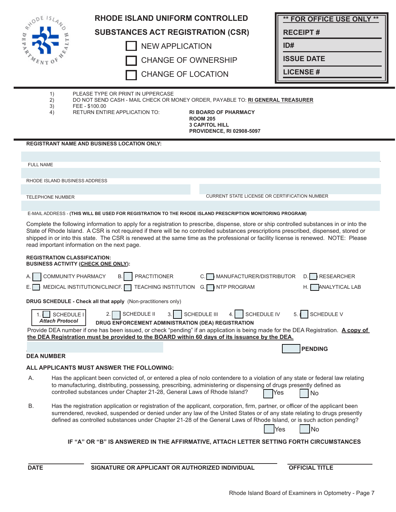| $e^{x^{10}}$ = $e^{x}$               | <b>RHODE ISLAND UNIFORM CONTROLLED</b>                                                                                                                                                                                                                                                                                                                                                                                                                                    | <b>** FOR OFFICE USE ONLY **</b>                       |
|--------------------------------------|---------------------------------------------------------------------------------------------------------------------------------------------------------------------------------------------------------------------------------------------------------------------------------------------------------------------------------------------------------------------------------------------------------------------------------------------------------------------------|--------------------------------------------------------|
|                                      | <b>SUBSTANCES ACT REGISTRATION (CSR)</b>                                                                                                                                                                                                                                                                                                                                                                                                                                  | <b>RECEIPT#</b>                                        |
| ю                                    | <b>NEW APPLICATION</b>                                                                                                                                                                                                                                                                                                                                                                                                                                                    | ID#                                                    |
|                                      | <b>CHANGE OF OWNERSHIP</b>                                                                                                                                                                                                                                                                                                                                                                                                                                                | <b>ISSUE DATE</b>                                      |
|                                      | <b>CHANGE OF LOCATION</b>                                                                                                                                                                                                                                                                                                                                                                                                                                                 | <b>LICENSE#</b>                                        |
|                                      |                                                                                                                                                                                                                                                                                                                                                                                                                                                                           |                                                        |
| 1)<br>2)                             | PLEASE TYPE OR PRINT IN UPPERCASE<br>DO NOT SEND CASH - MAIL CHECK OR MONEY ORDER, PAYABLE TO: RI GENERAL TREASURER                                                                                                                                                                                                                                                                                                                                                       |                                                        |
| 3)<br>4)                             | FEE-\$100.00<br><b>RETURN ENTIRE APPLICATION TO:</b><br><b>RI BOARD OF PHARMACY</b><br><b>ROOM 205</b><br><b>3 CAPITOL HILL</b><br><b>PROVIDENCE, RI 02908-5097</b>                                                                                                                                                                                                                                                                                                       |                                                        |
|                                      | <b>REGISTRANT NAME AND BUSINESS LOCATION ONLY:</b>                                                                                                                                                                                                                                                                                                                                                                                                                        |                                                        |
|                                      |                                                                                                                                                                                                                                                                                                                                                                                                                                                                           |                                                        |
| <b>FULL NAME</b>                     |                                                                                                                                                                                                                                                                                                                                                                                                                                                                           |                                                        |
| RHODE ISLAND BUSINESS ADDRESS        |                                                                                                                                                                                                                                                                                                                                                                                                                                                                           |                                                        |
| <b>TELEPHONE NUMBER</b>              | <b>CURRENT STATE LICENSE OR CERTIFICATION NUMBER</b>                                                                                                                                                                                                                                                                                                                                                                                                                      |                                                        |
|                                      | E-MAIL ADDRESS - (THIS WILL BE USED FOR REGISTRATION TO THE RHODE ISLAND PRESCRIPTION MONITORING PROGRAM)                                                                                                                                                                                                                                                                                                                                                                 |                                                        |
|                                      | Complete the following information to apply for a registration to prescribe, dispense, store or ship controlled substances in or into the<br>State of Rhode Island. A CSR is not required if there will be no controlled substances prescriptions prescribed, dispensed, stored or<br>shipped in or into this state. The CSR is renewed at the same time as the professional or facility license is renewed. NOTE: Please<br>read important information on the next page. |                                                        |
| <b>REGISTRATION CLASSIFICATION:</b>  | <b>BUSINESS ACTIVITY (CHECK ONE ONLY):</b>                                                                                                                                                                                                                                                                                                                                                                                                                                |                                                        |
| А.<br>Е.                             | COMMUNITY PHARMACY<br><b>B.</b><br><b>PRACTITIONER</b><br>MANUFACTURER/DISTRIBUTOR<br>C.<br>MEDICAL INSTITUTION/CLINICF.<br>TEACHING INSTITUTION G. NTP PROGRAM                                                                                                                                                                                                                                                                                                           | <b>RESEARCHER</b><br>D.<br><b>ANALYTICAL LAB</b><br>Н. |
|                                      | DRUG SCHEDULE - Check all that apply (Non-practitioners only)                                                                                                                                                                                                                                                                                                                                                                                                             |                                                        |
| SCHEDULE I<br><b>Attach Protocol</b> | SCHEDULE IV<br>SCHEDULE III<br><b>SCHEDULE II</b><br>3. I<br>2. I                                                                                                                                                                                                                                                                                                                                                                                                         | SCHEDULE V<br>5.                                       |
|                                      | DRUG ENFORCEMENT ADMINISTRATION (DEA) REGISTRATION<br>Provide DEA number if one has been issued, or check "pending" if an application is being made for the DEA Registration. A copy of<br>the DEA Registration must be provided to the BOARD within 60 days of its issuance by the DEA.                                                                                                                                                                                  |                                                        |
|                                      |                                                                                                                                                                                                                                                                                                                                                                                                                                                                           | <b>PENDING</b>                                         |
| <b>DEA NUMBER</b>                    |                                                                                                                                                                                                                                                                                                                                                                                                                                                                           |                                                        |
| А.                                   | ALL APPLICANTS MUST ANSWER THE FOLLOWING:<br>Has the applicant been convicted of, or entered a plea of nolo contendere to a violation of any state or federal law relating                                                                                                                                                                                                                                                                                                |                                                        |
|                                      | to manufacturing, distributing, possessing, prescribing, administering or dispensing of drugs presently defined as<br>controlled substances under Chapter 21-28, General Laws of Rhode Island?                                                                                                                                                                                                                                                                            | Yes<br>No                                              |
| В.                                   | Has the registration application or registration of the applicant, corporation, firm, partner, or officer of the applicant been<br>surrendered, revoked, suspended or denied under any law of the United States or of any state relating to drugs presently<br>defined as controlled substances under Chapter 21-28 of the General Laws of Rhode Island, or is such action pending?                                                                                       | No<br>Yes                                              |
|                                      | IF "A" OR "B" IS ANSWERED IN THE AFFIRMATIVE, ATTACH LETTER SETTING FORTH CIRCUMSTANCES                                                                                                                                                                                                                                                                                                                                                                                   |                                                        |
| <b>DATE</b>                          | SIGNATURE OR APPLICANT OR AUTHORIZED INDIVIDUAL                                                                                                                                                                                                                                                                                                                                                                                                                           | <b>OFFICIAL TITLE</b>                                  |